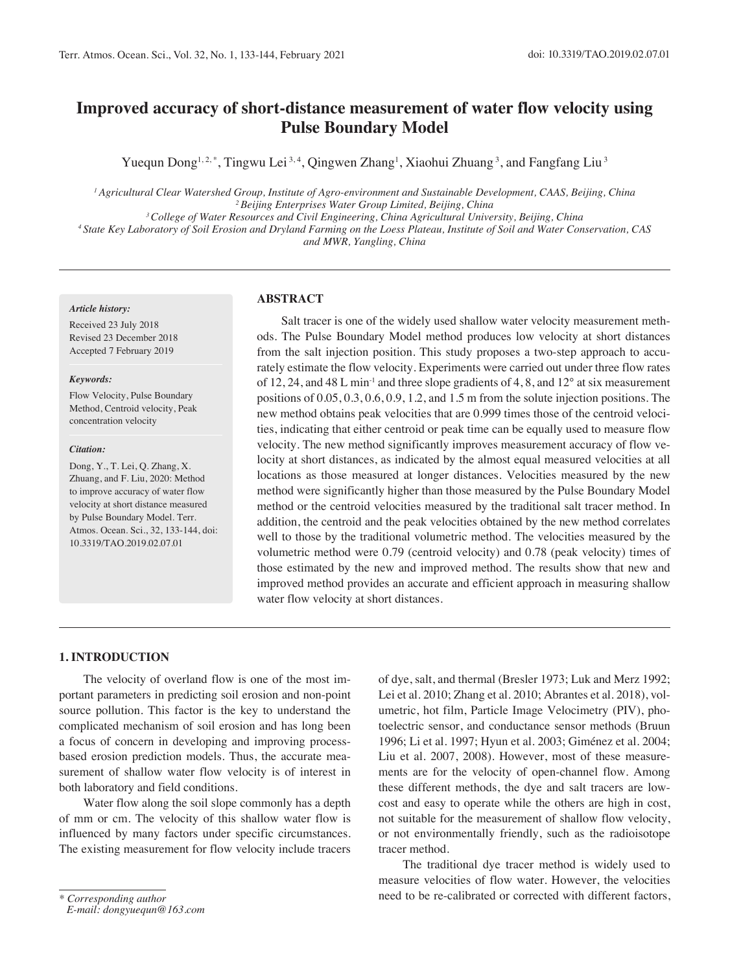# **Improved accuracy of short-distance measurement of water flow velocity using Pulse Boundary Model**

Yuequn Dong<sup>1,2,\*</sup>, Tingwu Lei<sup>3,4</sup>, Qingwen Zhang<sup>1</sup>, Xiaohui Zhuang<sup>3</sup>, and Fangfang Liu<sup>3</sup>

*1 Agricultural Clear Watershed Group, Institute of Agro-environment and Sustainable Development, CAAS, Beijing, China 2 Beijing Enterprises Water Group Limited, Beijing, China 3 College of Water Resources and Civil Engineering, China Agricultural University, Beijing, China*

*4 State Key Laboratory of Soil Erosion and Dryland Farming on the Loess Plateau, Institute of Soil and Water Conservation, CAS* 

*and MWR, Yangling, China*

#### *Article history:*

Received 23 July 2018 Revised 23 December 2018 Accepted 7 February 2019

#### *Keywords:*

Flow Velocity, Pulse Boundary Method, Centroid velocity, Peak concentration velocity

#### *Citation:*

Dong, Y., T. Lei, Q. Zhang, X. Zhuang, and F. Liu, 2020: Method to improve accuracy of water flow velocity at short distance measured by Pulse Boundary Model. Terr. Atmos. Ocean. Sci., 32, 133-144, doi: 10.3319/TAO.2019.02.07.01

#### **ABSTRACT**

Salt tracer is one of the widely used shallow water velocity measurement methods. The Pulse Boundary Model method produces low velocity at short distances from the salt injection position. This study proposes a two-step approach to accurately estimate the flow velocity. Experiments were carried out under three flow rates of 12, 24, and 48 L min<sup>-1</sup> and three slope gradients of 4, 8, and  $12^{\circ}$  at six measurement positions of 0.05, 0.3, 0.6, 0.9, 1.2, and 1.5 m from the solute injection positions. The new method obtains peak velocities that are 0.999 times those of the centroid velocities, indicating that either centroid or peak time can be equally used to measure flow velocity. The new method significantly improves measurement accuracy of flow velocity at short distances, as indicated by the almost equal measured velocities at all locations as those measured at longer distances. Velocities measured by the new method were significantly higher than those measured by the Pulse Boundary Model method or the centroid velocities measured by the traditional salt tracer method. In addition, the centroid and the peak velocities obtained by the new method correlates well to those by the traditional volumetric method. The velocities measured by the volumetric method were 0.79 (centroid velocity) and 0.78 (peak velocity) times of those estimated by the new and improved method. The results show that new and improved method provides an accurate and efficient approach in measuring shallow water flow velocity at short distances.

## **1. INTRODUCTION**

The velocity of overland flow is one of the most important parameters in predicting soil erosion and non-point source pollution. This factor is the key to understand the complicated mechanism of soil erosion and has long been a focus of concern in developing and improving processbased erosion prediction models. Thus, the accurate measurement of shallow water flow velocity is of interest in both laboratory and field conditions.

Water flow along the soil slope commonly has a depth of mm or cm. The velocity of this shallow water flow is influenced by many factors under specific circumstances. The existing measurement for flow velocity include tracers

*\* Corresponding author*

of dye, salt, and thermal (Bresler 1973; Luk and Merz 1992; Lei et al. 2010; Zhang et al. 2010; Abrantes et al. 2018), volumetric, hot film, Particle Image Velocimetry (PIV), photoelectric sensor, and conductance sensor methods (Bruun 1996; Li et al. 1997; Hyun et al. 2003; Giménez et al. 2004; Liu et al. 2007, 2008). However, most of these measurements are for the velocity of open-channel flow. Among these different methods, the dye and salt tracers are lowcost and easy to operate while the others are high in cost, not suitable for the measurement of shallow flow velocity, or not environmentally friendly, such as the radioisotope tracer method.

The traditional dye tracer method is widely used to measure velocities of flow water. However, the velocities need to be re-calibrated or corrected with different factors,

*E-mail: dongyuequn@163.com*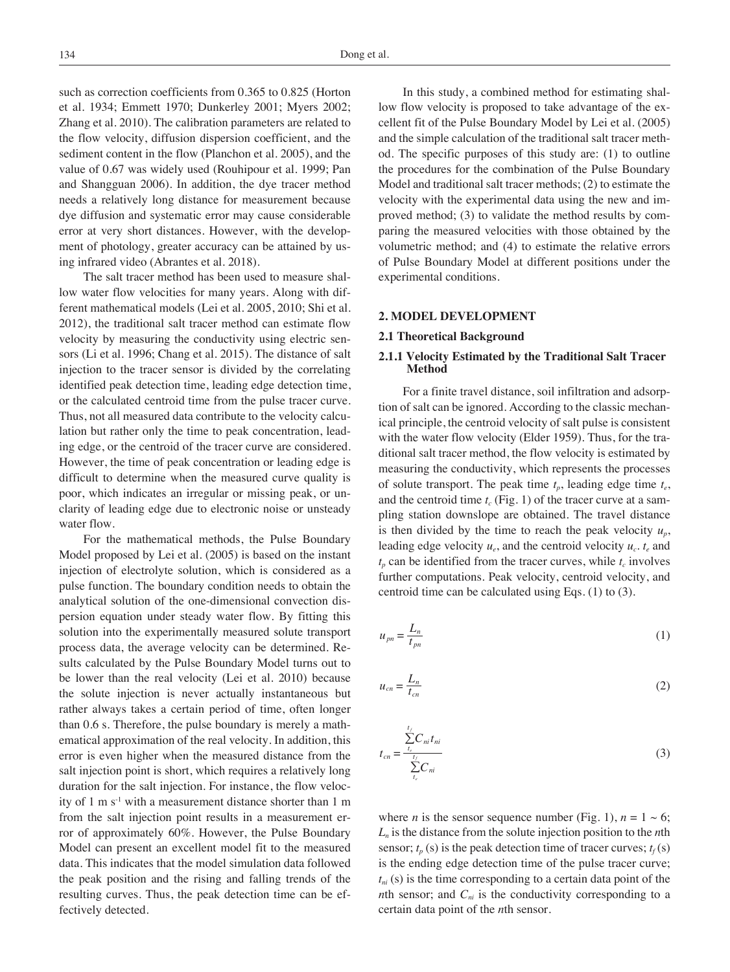such as correction coefficients from 0.365 to 0.825 (Horton et al. 1934; Emmett 1970; Dunkerley 2001; Myers 2002; Zhang et al. 2010). The calibration parameters are related to the flow velocity, diffusion dispersion coefficient, and the sediment content in the flow (Planchon et al. 2005), and the value of 0.67 was widely used (Rouhipour et al. 1999; Pan and Shangguan 2006). In addition, the dye tracer method needs a relatively long distance for measurement because dye diffusion and systematic error may cause considerable error at very short distances. However, with the development of photology, greater accuracy can be attained by using infrared video (Abrantes et al. 2018).

The salt tracer method has been used to measure shallow water flow velocities for many years. Along with different mathematical models (Lei et al. 2005, 2010; Shi et al. 2012), the traditional salt tracer method can estimate flow velocity by measuring the conductivity using electric sensors (Li et al. 1996; Chang et al. 2015). The distance of salt injection to the tracer sensor is divided by the correlating identified peak detection time, leading edge detection time, or the calculated centroid time from the pulse tracer curve. Thus, not all measured data contribute to the velocity calculation but rather only the time to peak concentration, leading edge, or the centroid of the tracer curve are considered. However, the time of peak concentration or leading edge is difficult to determine when the measured curve quality is poor, which indicates an irregular or missing peak, or unclarity of leading edge due to electronic noise or unsteady water flow.

For the mathematical methods, the Pulse Boundary Model proposed by Lei et al. (2005) is based on the instant injection of electrolyte solution, which is considered as a pulse function. The boundary condition needs to obtain the analytical solution of the one-dimensional convection dispersion equation under steady water flow. By fitting this solution into the experimentally measured solute transport process data, the average velocity can be determined. Results calculated by the Pulse Boundary Model turns out to be lower than the real velocity (Lei et al. 2010) because the solute injection is never actually instantaneous but rather always takes a certain period of time, often longer than 0.6 s. Therefore, the pulse boundary is merely a mathematical approximation of the real velocity. In addition, this error is even higher when the measured distance from the salt injection point is short, which requires a relatively long duration for the salt injection. For instance, the flow velocity of 1 m  $s^{-1}$  with a measurement distance shorter than 1 m from the salt injection point results in a measurement error of approximately 60%. However, the Pulse Boundary Model can present an excellent model fit to the measured data. This indicates that the model simulation data followed the peak position and the rising and falling trends of the resulting curves. Thus, the peak detection time can be effectively detected.

In this study, a combined method for estimating shallow flow velocity is proposed to take advantage of the excellent fit of the Pulse Boundary Model by Lei et al. (2005) and the simple calculation of the traditional salt tracer method. The specific purposes of this study are: (1) to outline the procedures for the combination of the Pulse Boundary Model and traditional salt tracer methods; (2) to estimate the velocity with the experimental data using the new and improved method; (3) to validate the method results by comparing the measured velocities with those obtained by the volumetric method; and (4) to estimate the relative errors of Pulse Boundary Model at different positions under the experimental conditions.

#### **2. MODEL DEVELOPMENT**

#### **2.1 Theoretical Background**

# **2.1.1 Velocity Estimated by the Traditional Salt Tracer Method**

For a finite travel distance, soil infiltration and adsorption of salt can be ignored. According to the classic mechanical principle, the centroid velocity of salt pulse is consistent with the water flow velocity (Elder 1959). Thus, for the traditional salt tracer method, the flow velocity is estimated by measuring the conductivity, which represents the processes of solute transport. The peak time  $t_p$ , leading edge time  $t_e$ , and the centroid time  $t_c$  (Fig. 1) of the tracer curve at a sampling station downslope are obtained. The travel distance is then divided by the time to reach the peak velocity  $u_n$ , leading edge velocity  $u_e$ , and the centroid velocity  $u_c$ ,  $t_e$  and  $t_p$  can be identified from the tracer curves, while  $t_c$  involves further computations. Peak velocity, centroid velocity, and centroid time can be calculated using Eqs. (1) to (3).

$$
u_{pn} = \frac{L_n}{t_{pn}}\tag{1}
$$

$$
u_{cn} = \frac{L_n}{t_{cn}}\tag{2}
$$

$$
t_{cn} = \frac{\sum_{t_i}^{t_f} C_{ni} t_{ni}}{\sum_{t_e}^{t_f} C_{ni}}
$$
\n
$$
(3)
$$

where *n* is the sensor sequence number (Fig. 1),  $n = 1 \sim 6$ ; *Ln* is the distance from the solute injection position to the *n*th sensor;  $t_p$  (s) is the peak detection time of tracer curves;  $t_f$  (s) is the ending edge detection time of the pulse tracer curve;  $t_{ni}$  (s) is the time corresponding to a certain data point of the *n*th sensor; and  $C_{ni}$  is the conductivity corresponding to a certain data point of the *n*th sensor.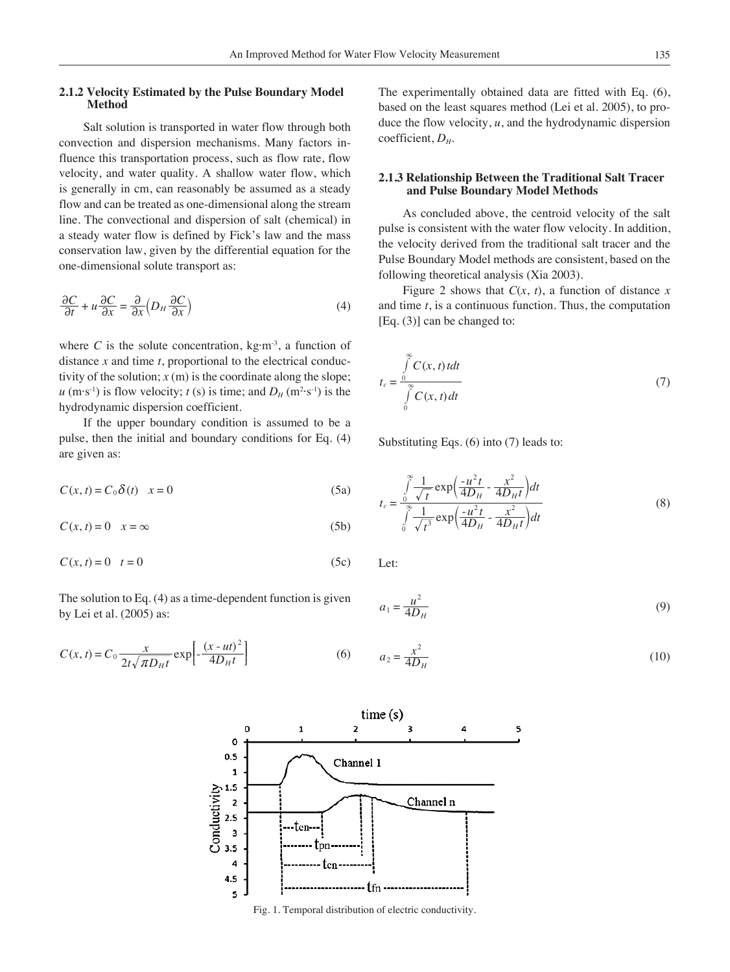## **2.1.2 Velocity Estimated by the Pulse Boundary Model Method**

Salt solution is transported in water flow through both convection and dispersion mechanisms. Many factors influence this transportation process, such as flow rate, flow velocity, and water quality. A shallow water flow, which is generally in cm, can reasonably be assumed as a steady flow and can be treated as one-dimensional along the stream line. The convectional and dispersion of salt (chemical) in a steady water flow is defined by Fick's law and the mass conservation law, given by the differential equation for the one-dimensional solute transport as:

$$
\frac{\partial C}{\partial t} + u \frac{\partial C}{\partial x} = \frac{\partial}{\partial x} \left( D_H \frac{\partial C}{\partial x} \right) \tag{4}
$$

where *C* is the solute concentration,  $kg·m<sup>-3</sup>$ , a function of distance *x* and time *t*, proportional to the electrical conductivity of the solution;  $x(m)$  is the coordinate along the slope;  $u$  (m·s<sup>-1</sup>) is flow velocity;  $t$  (s) is time; and  $D_H$  (m<sup>2</sup>·s<sup>-1</sup>) is the hydrodynamic dispersion coefficient.

If the upper boundary condition is assumed to be a pulse, then the initial and boundary conditions for Eq. (4) are given as:

$$
C(x,t) = C_0 \delta(t) \quad x = 0 \tag{5a}
$$

$$
C(x,t) = 0 \quad x = \infty \tag{5b}
$$

$$
C(x,t) = 0 \quad t = 0 \tag{5c}
$$

The solution to Eq. (4) as a time-dependent function is given by Lei et al. (2005) as:

$$
C(x,t) = C_0 \frac{x}{2t\sqrt{\pi D_H t}} \exp\left[-\frac{(x - ut)^2}{4D_H t}\right]
$$
 (6)

The experimentally obtained data are fitted with Eq. (6), based on the least squares method (Lei et al. 2005), to produce the flow velocity, *u*, and the hydrodynamic dispersion coefficient, *DH*.

## **2.1.3 Relationship Between the Traditional Salt Tracer and Pulse Boundary Model Methods**

As concluded above, the centroid velocity of the salt pulse is consistent with the water flow velocity. In addition, the velocity derived from the traditional salt tracer and the Pulse Boundary Model methods are consistent, based on the following theoretical analysis (Xia 2003).

Figure 2 shows that  $C(x, t)$ , a function of distance x and time *t*, is a continuous function. Thus, the computation [Eq. (3)] can be changed to:

$$
t_c = \frac{\int\limits_0^\infty C(x, t) \, dt}{\int\limits_0^\infty C(x, t) \, dt} \tag{7}
$$

Substituting Eqs. (6) into (7) leads to:

$$
t_c = \frac{\int_0^\infty \frac{1}{\sqrt{t}} \exp\left(\frac{-u^2 t}{4D_H} - \frac{x^2}{4D_H t}\right) dt}{\int_0^\infty \frac{1}{\sqrt{t^3}} \exp\left(\frac{-u^2 t}{4D_H} - \frac{x^2}{4D_H t}\right) dt}
$$
(8)

Let:

$$
a_1 = \frac{u^2}{4D_H} \tag{9}
$$

(6) 
$$
a_2 = \frac{x^2}{4D_H}
$$
 (10)



Fig. 1. Temporal distribution of electric conductivity.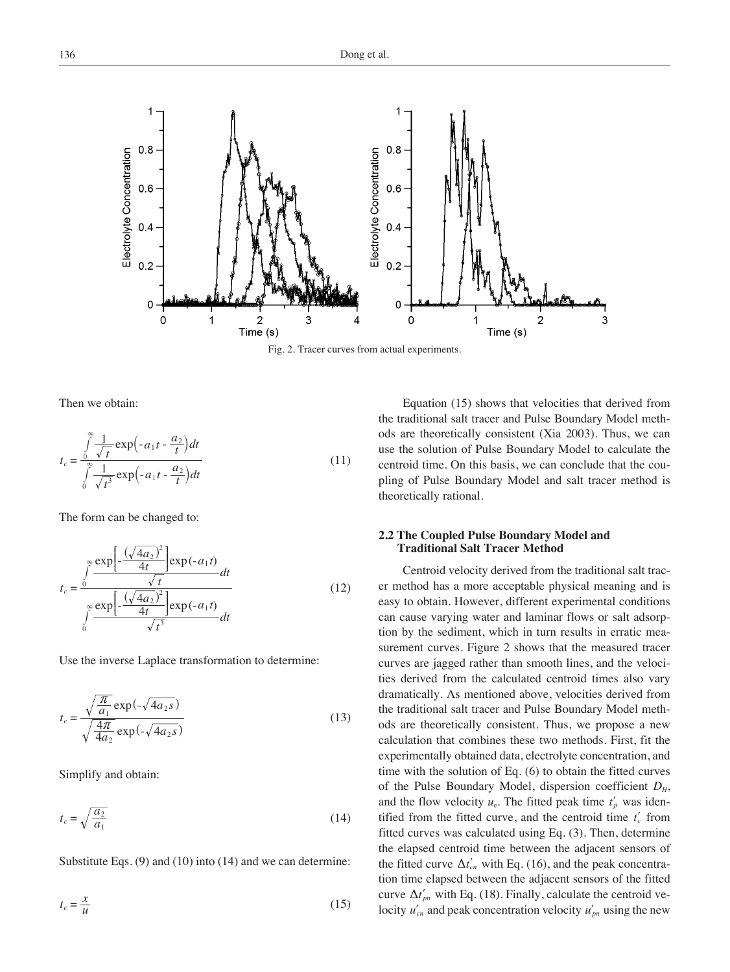

Fig. 2. Tracer curves from actual experiments.

Then we obtain:

$$
t_c = \frac{\int_0^\infty \frac{1}{\sqrt{t}} \exp\left(-a_1 t - \frac{a_2}{t}\right) dt}{\int_0^\infty \frac{1}{\sqrt{t^3}} \exp\left(-a_1 t - \frac{a_2}{t}\right) dt}
$$
(11)

The form can be changed to:

$$
t_c = \frac{\int\limits_0^\infty \frac{\exp\left[-\frac{(\sqrt{4a_2})^2}{4t}\right] \exp(-a_1 t)}{\sqrt{t}} dt}{\int\limits_0^\infty \frac{\exp\left[-\frac{(\sqrt{4a_2})^2}{4t}\right] \exp(-a_1 t)}{\sqrt{t^3}} dt}
$$
(12)

Use the inverse Laplace transformation to determine:

$$
t_c = \frac{\sqrt{\frac{\pi}{a_1}} \exp(-\sqrt{4a_2 s})}{\sqrt{\frac{4\pi}{4a_2}} \exp(-\sqrt{4a_2 s})}
$$
(13)

Simplify and obtain:

$$
t_c = \sqrt{\frac{a_2}{a_1}}\tag{14}
$$

Substitute Eqs. (9) and (10) into (14) and we can determine:

$$
t_c = \frac{x}{u} \tag{15}
$$

Equation (15) shows that velocities that derived from the traditional salt tracer and Pulse Boundary Model methods are theoretically consistent (Xia 2003). Thus, we can use the solution of Pulse Boundary Model to calculate the centroid time. On this basis, we can conclude that the coupling of Pulse Boundary Model and salt tracer method is theoretically rational.

# **2.2 The Coupled Pulse Boundary Model and Traditional Salt Tracer Method**

Centroid velocity derived from the traditional salt tracer method has a more acceptable physical meaning and is easy to obtain. However, different experimental conditions can cause varying water and laminar flows or salt adsorption by the sediment, which in turn results in erratic measurement curves. Figure 2 shows that the measured tracer curves are jagged rather than smooth lines, and the velocities derived from the calculated centroid times also vary dramatically. As mentioned above, velocities derived from the traditional salt tracer and Pulse Boundary Model methods are theoretically consistent. Thus, we propose a new calculation that combines these two methods. First, fit the experimentally obtained data, electrolyte concentration, and time with the solution of Eq. (6) to obtain the fitted curves of the Pulse Boundary Model, dispersion coefficient  $D_H$ , and the flow velocity  $u_e$ . The fitted peak time  $t'_p$  was identified from the fitted curve, and the centroid time  $t_c$  from fitted curves was calculated using Eq. (3). Then, determine the elapsed centroid time between the adjacent sensors of the fitted curve  $\Delta t'_{cn}$  with Eq. (16), and the peak concentration time elapsed between the adjacent sensors of the fitted curve  $\Delta t'_{pn}$  with Eq. (18). Finally, calculate the centroid velocity  $u'_{cn}$  and peak concentration velocity  $u'_{pn}$  using the new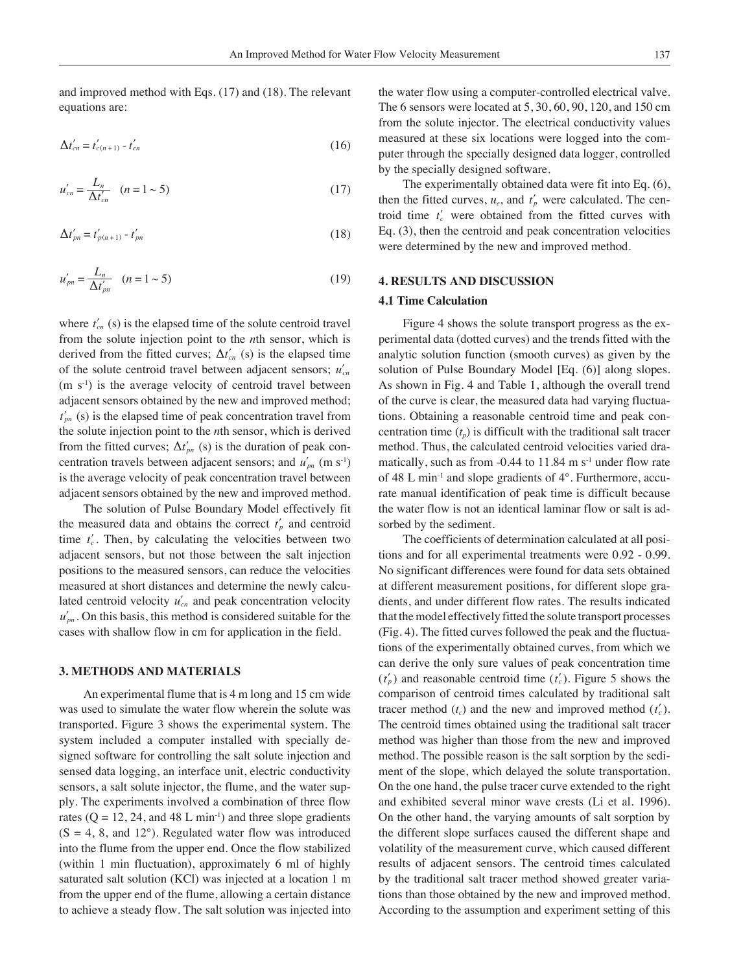and improved method with Eqs. (17) and (18). The relevant equations are:

$$
\Delta t'_{cn} = t'_{c(n+1)} - t'_{cn} \tag{16}
$$

$$
u'_{cn} = \frac{L_n}{\Delta t'_{cn}} \quad (n = 1 \sim 5)
$$
 (17)

$$
\Delta t'_{pn} = t'_{p(n+1)} - t'_{pn} \tag{18}
$$

$$
u'_{pn} = \frac{L_n}{\Delta t'_{pn}} \quad (n = 1 \sim 5)
$$
 (19)

where  $t_{cn}$  (s) is the elapsed time of the solute centroid travel from the solute injection point to the *n*th sensor, which is derived from the fitted curves;  $\Delta t'_{cn}$  (s) is the elapsed time of the solute centroid travel between adjacent sensors;  $u'_{cn}$  $(m s<sup>-1</sup>)$  is the average velocity of centroid travel between adjacent sensors obtained by the new and improved method;  $t_{nn}$  (s) is the elapsed time of peak concentration travel from the solute injection point to the *n*th sensor, which is derived from the fitted curves;  $\Delta t'_{pn}$  (s) is the duration of peak concentration travels between adjacent sensors; and  $u'_{nn}$  (m s<sup>-1</sup>) is the average velocity of peak concentration travel between adjacent sensors obtained by the new and improved method.

The solution of Pulse Boundary Model effectively fit the measured data and obtains the correct  $t_p$  and centroid time  $t_c'$ . Then, by calculating the velocities between two adjacent sensors, but not those between the salt injection positions to the measured sensors, can reduce the velocities measured at short distances and determine the newly calculated centroid velocity  $u'_{cn}$  and peak concentration velocity  $u'_{pn}$ . On this basis, this method is considered suitable for the cases with shallow flow in cm for application in the field.

#### **3. METHODS AND MATERIALS**

An experimental flume that is 4 m long and 15 cm wide was used to simulate the water flow wherein the solute was transported. Figure 3 shows the experimental system. The system included a computer installed with specially designed software for controlling the salt solute injection and sensed data logging, an interface unit, electric conductivity sensors, a salt solute injector, the flume, and the water supply. The experiments involved a combination of three flow rates ( $Q = 12, 24$ , and 48 L min<sup>-1</sup>) and three slope gradients  $(S = 4, 8, \text{ and } 12^{\circ})$ . Regulated water flow was introduced into the flume from the upper end. Once the flow stabilized (within 1 min fluctuation), approximately 6 ml of highly saturated salt solution (KCl) was injected at a location 1 m from the upper end of the flume, allowing a certain distance to achieve a steady flow. The salt solution was injected into

the water flow using a computer-controlled electrical valve. The 6 sensors were located at 5, 30, 60, 90, 120, and 150 cm from the solute injector. The electrical conductivity values measured at these six locations were logged into the computer through the specially designed data logger, controlled by the specially designed software.

The experimentally obtained data were fit into Eq. (6), then the fitted curves,  $u_e$ , and  $t'_p$  were calculated. The centroid time  $t_c$  were obtained from the fitted curves with Eq. (3), then the centroid and peak concentration velocities were determined by the new and improved method.

# **4. RESULTS AND DISCUSSION**

#### **4.1 Time Calculation**

Figure 4 shows the solute transport progress as the experimental data (dotted curves) and the trends fitted with the analytic solution function (smooth curves) as given by the solution of Pulse Boundary Model [Eq. (6)] along slopes. As shown in Fig. 4 and Table 1, although the overall trend of the curve is clear, the measured data had varying fluctuations. Obtaining a reasonable centroid time and peak concentration time  $(t_p)$  is difficult with the traditional salt tracer method. Thus, the calculated centroid velocities varied dramatically, such as from  $-0.44$  to 11.84 m s<sup>-1</sup> under flow rate of 48 L min<sup>-1</sup> and slope gradients of  $4^\circ$ . Furthermore, accurate manual identification of peak time is difficult because the water flow is not an identical laminar flow or salt is adsorbed by the sediment.

The coefficients of determination calculated at all positions and for all experimental treatments were 0.92 - 0.99. No significant differences were found for data sets obtained at different measurement positions, for different slope gradients, and under different flow rates. The results indicated that the model effectively fitted the solute transport processes (Fig. 4). The fitted curves followed the peak and the fluctuations of the experimentally obtained curves, from which we can derive the only sure values of peak concentration time  $(t_p)$  and reasonable centroid time  $(t_c)$ . Figure 5 shows the comparison of centroid times calculated by traditional salt tracer method  $(t_c)$  and the new and improved method  $(t_c)$ . The centroid times obtained using the traditional salt tracer method was higher than those from the new and improved method. The possible reason is the salt sorption by the sediment of the slope, which delayed the solute transportation. On the one hand, the pulse tracer curve extended to the right and exhibited several minor wave crests (Li et al. 1996). On the other hand, the varying amounts of salt sorption by the different slope surfaces caused the different shape and volatility of the measurement curve, which caused different results of adjacent sensors. The centroid times calculated by the traditional salt tracer method showed greater variations than those obtained by the new and improved method. According to the assumption and experiment setting of this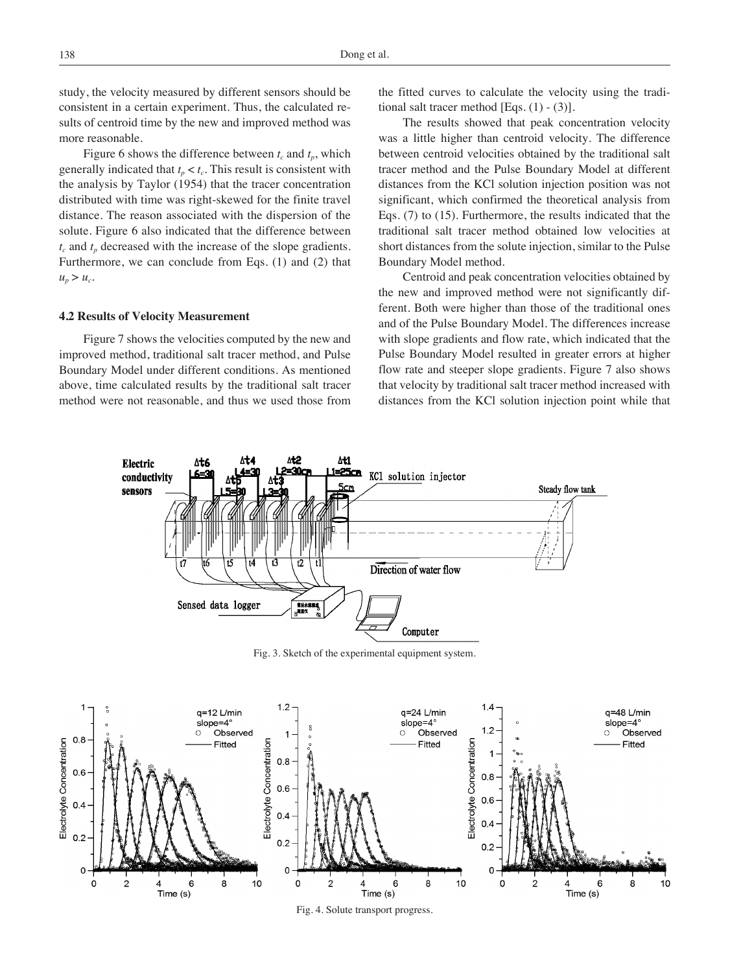study, the velocity measured by different sensors should be consistent in a certain experiment. Thus, the calculated results of centroid time by the new and improved method was more reasonable.

Figure 6 shows the difference between  $t_c$  and  $t_p$ , which generally indicated that  $t_p < t_c$ . This result is consistent with the analysis by Taylor (1954) that the tracer concentration distributed with time was right-skewed for the finite travel distance. The reason associated with the dispersion of the solute. Figure 6 also indicated that the difference between  $t_c$  and  $t_p$  decreased with the increase of the slope gradients. Furthermore, we can conclude from Eqs. (1) and (2) that  $u_p > u_c$ .

#### **4.2 Results of Velocity Measurement**

Figure 7 shows the velocities computed by the new and improved method, traditional salt tracer method, and Pulse Boundary Model under different conditions. As mentioned above, time calculated results by the traditional salt tracer method were not reasonable, and thus we used those from the fitted curves to calculate the velocity using the traditional salt tracer method  $[Eqs. (1) - (3)].$ 

The results showed that peak concentration velocity was a little higher than centroid velocity. The difference between centroid velocities obtained by the traditional salt tracer method and the Pulse Boundary Model at different distances from the KCl solution injection position was not significant, which confirmed the theoretical analysis from Eqs. (7) to (15). Furthermore, the results indicated that the traditional salt tracer method obtained low velocities at short distances from the solute injection, similar to the Pulse Boundary Model method.

Centroid and peak concentration velocities obtained by the new and improved method were not significantly different. Both were higher than those of the traditional ones and of the Pulse Boundary Model. The differences increase with slope gradients and flow rate, which indicated that the Pulse Boundary Model resulted in greater errors at higher flow rate and steeper slope gradients. Figure 7 also shows that velocity by traditional salt tracer method increased with distances from the KCl solution injection point while that



Fig. 3. Sketch of the experimental equipment system.

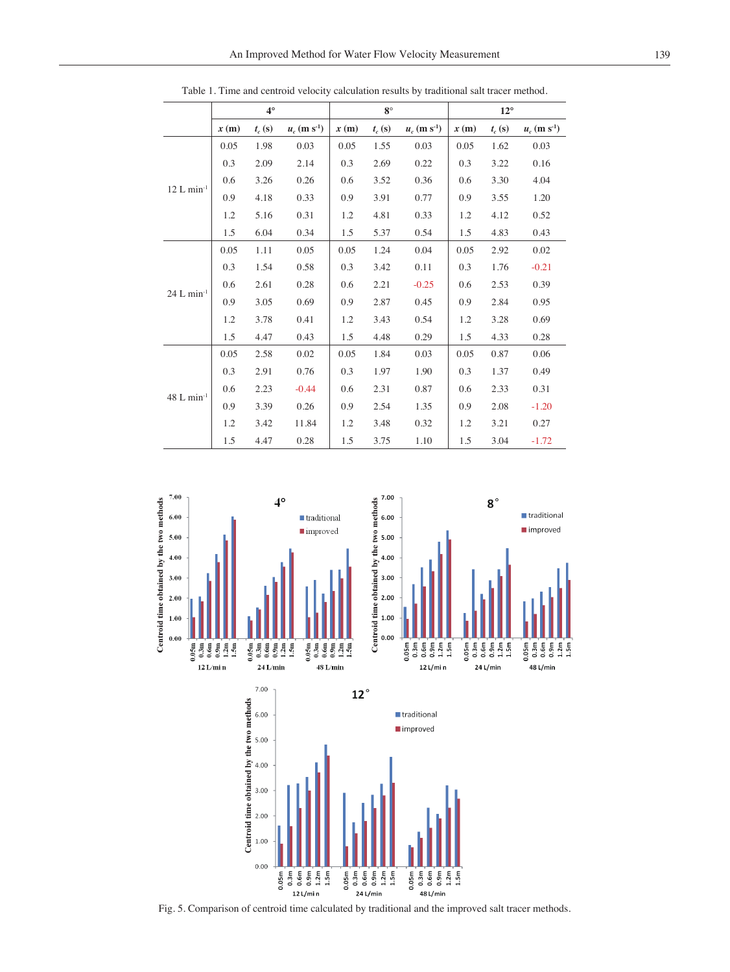|                          | $4^\circ$ |          |                            | $8^\circ$ |          |                            | $12^{\circ}$ |          |                            |
|--------------------------|-----------|----------|----------------------------|-----------|----------|----------------------------|--------------|----------|----------------------------|
|                          | x(m)      | $t_c(s)$ | $u_c$ (m s <sup>-1</sup> ) | x(m)      | $t_c(s)$ | $u_c$ (m s <sup>-1</sup> ) | x(m)         | $t_c(s)$ | $u_c$ (m s <sup>-1</sup> ) |
| $12$ L min <sup>-1</sup> | 0.05      | 1.98     | 0.03                       | 0.05      | 1.55     | 0.03                       | 0.05         | 1.62     | 0.03                       |
|                          | 0.3       | 2.09     | 2.14                       | 0.3       | 2.69     | 0.22                       | 0.3          | 3.22     | 0.16                       |
|                          | 0.6       | 3.26     | 0.26                       | 0.6       | 3.52     | 0.36                       | 0.6          | 3.30     | 4.04                       |
|                          | 0.9       | 4.18     | 0.33                       | 0.9       | 3.91     | 0.77                       | 0.9          | 3.55     | 1.20                       |
|                          | 1.2       | 5.16     | 0.31                       | 1.2       | 4.81     | 0.33                       | 1.2          | 4.12     | 0.52                       |
|                          | 1.5       | 6.04     | 0.34                       | 1.5       | 5.37     | 0.54                       | 1.5          | 4.83     | 0.43                       |
|                          | 0.05      | 1.11     | 0.05                       | 0.05      | 1.24     | 0.04                       | 0.05         | 2.92     | 0.02                       |
|                          | 0.3       | 1.54     | 0.58                       | 0.3       | 3.42     | 0.11                       | 0.3          | 1.76     | $-0.21$                    |
|                          | 0.6       | 2.61     | 0.28                       | 0.6       | 2.21     | $-0.25$                    | 0.6          | 2.53     | 0.39                       |
| $24$ L min <sup>-1</sup> | 0.9       | 3.05     | 0.69                       | 0.9       | 2.87     | 0.45                       | 0.9          | 2.84     | 0.95                       |
|                          | 1.2       | 3.78     | 0.41                       | 1.2       | 3.43     | 0.54                       | 1.2          | 3.28     | 0.69                       |
|                          | 1.5       | 4.47     | 0.43                       | 1.5       | 4.48     | 0.29                       | 1.5          | 4.33     | 0.28                       |
|                          | 0.05      | 2.58     | 0.02                       | 0.05      | 1.84     | 0.03                       | 0.05         | 0.87     | 0.06                       |
| $48$ L min <sup>-1</sup> | 0.3       | 2.91     | 0.76                       | 0.3       | 1.97     | 1.90                       | 0.3          | 1.37     | 0.49                       |
|                          | 0.6       | 2.23     | $-0.44$                    | 0.6       | 2.31     | 0.87                       | 0.6          | 2.33     | 0.31                       |
|                          | 0.9       | 3.39     | 0.26                       | 0.9       | 2.54     | 1.35                       | 0.9          | 2.08     | $-1.20$                    |
|                          | 1.2       | 3.42     | 11.84                      | 1.2       | 3.48     | 0.32                       | 1.2          | 3.21     | 0.27                       |
|                          | 1.5       | 4.47     | 0.28                       | 1.5       | 3.75     | 1.10                       | 1.5          | 3.04     | $-1.72$                    |

Table 1. Time and centroid velocity calculation results by traditional salt tracer method.



Fig. 5. Comparison of centroid time calculated by traditional and the improved salt tracer methods.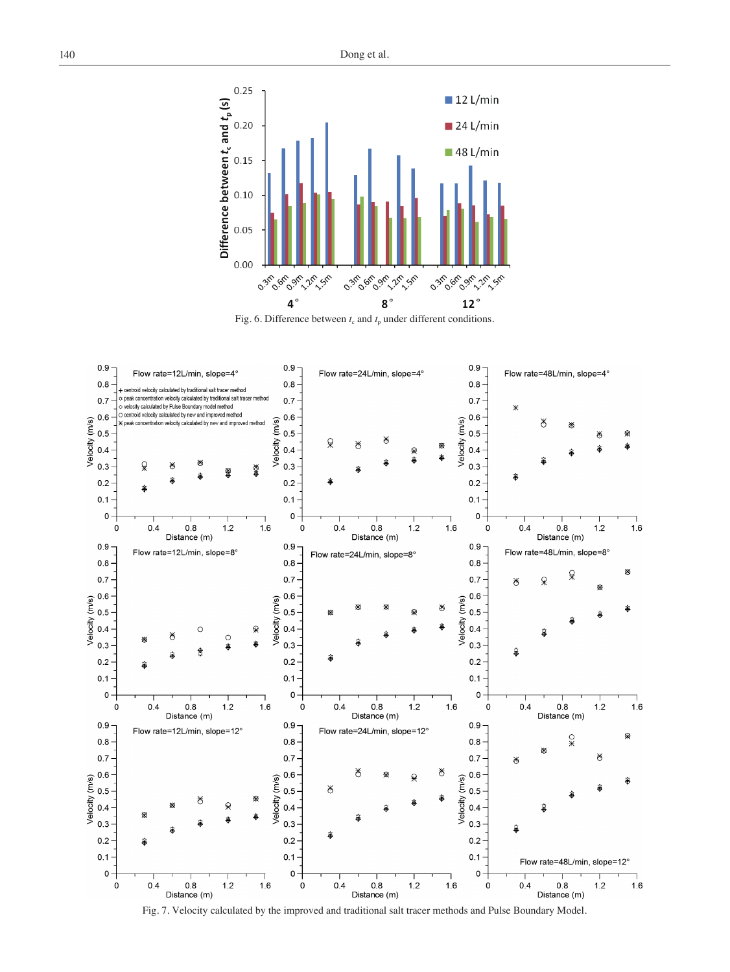

Fig. 6. Difference between  $t_c$  and  $t_p$  under different conditions.



Fig. 7. Velocity calculated by the improved and traditional salt tracer methods and Pulse Boundary Model.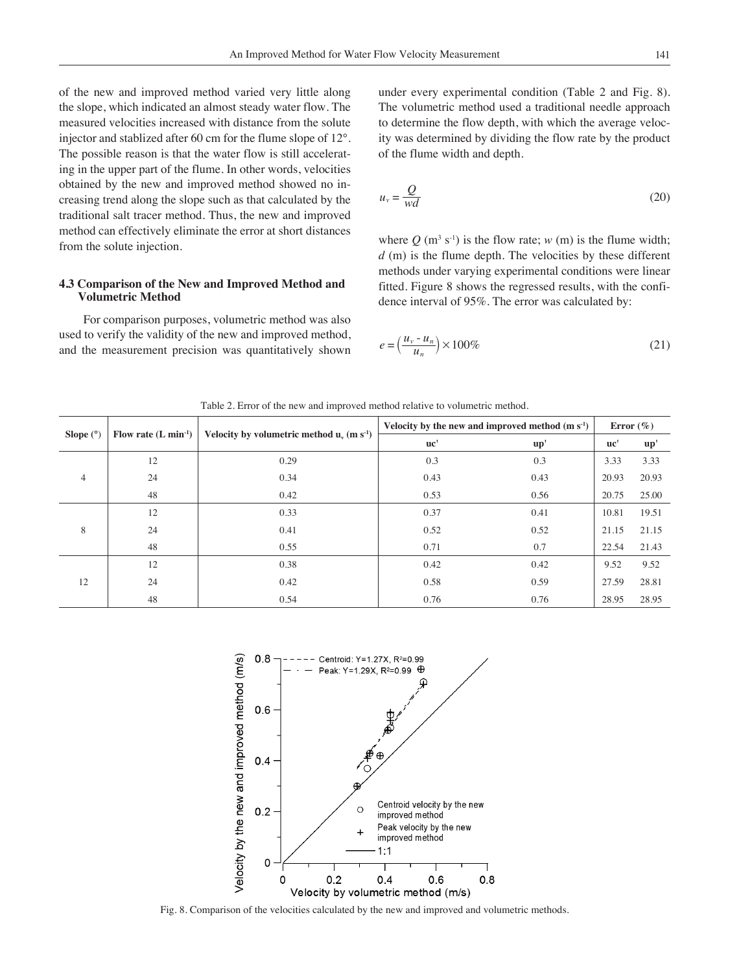of the new and improved method varied very little along the slope, which indicated an almost steady water flow. The measured velocities increased with distance from the solute injector and stablized after 60 cm for the flume slope of 12°. The possible reason is that the water flow is still accelerating in the upper part of the flume. In other words, velocities obtained by the new and improved method showed no increasing trend along the slope such as that calculated by the traditional salt tracer method. Thus, the new and improved method can effectively eliminate the error at short distances from the solute injection.

#### **4.3 Comparison of the New and Improved Method and Volumetric Method**

For comparison purposes, volumetric method was also used to verify the validity of the new and improved method, and the measurement precision was quantitatively shown

under every experimental condition (Table 2 and Fig. 8). The volumetric method used a traditional needle approach to determine the flow depth, with which the average velocity was determined by dividing the flow rate by the product of the flume width and depth.

$$
u_v = \frac{Q}{wd} \tag{20}
$$

where  $Q$  (m<sup>3</sup> s<sup>-1</sup>) is the flow rate;  $w$  (m) is the flume width; *d* (m) is the flume depth. The velocities by these different methods under varying experimental conditions were linear fitted. Figure 8 shows the regressed results, with the confidence interval of 95%. The error was calculated by:

$$
e = \left(\frac{u_v - u_n}{u_n}\right) \times 100\%
$$
\n(21)

|                                                                              |  | Velocity by the new and improved method |  |  |  |  |  |  |
|------------------------------------------------------------------------------|--|-----------------------------------------|--|--|--|--|--|--|
| Table 2. Error of the new and improved method relative to volumetric method. |  |                                         |  |  |  |  |  |  |

| Slope $(°)$ | Flow rate $(L \text{ min}^{-1})$ |                                                          | Velocity by the new and improved method $(m s-1)$ | Error $(\% )$            |       |                          |
|-------------|----------------------------------|----------------------------------------------------------|---------------------------------------------------|--------------------------|-------|--------------------------|
|             |                                  | Velocity by volumetric method $u_v$ (m s <sup>-1</sup> ) | uc'                                               | $\mathbf{u} \mathbf{p}'$ | uc'   | $\mathbf{u} \mathbf{p}'$ |
| 4           | 12                               | 0.29                                                     | 0.3                                               | 0.3                      | 3.33  | 3.33                     |
|             | 24                               | 0.34                                                     | 0.43                                              | 0.43                     | 20.93 | 20.93                    |
|             | 48                               | 0.42                                                     | 0.53                                              | 0.56                     | 20.75 | 25.00                    |
| 8           | 12                               | 0.33                                                     | 0.37                                              | 0.41                     | 10.81 | 19.51                    |
|             | 24                               | 0.41                                                     | 0.52                                              | 0.52                     | 21.15 | 21.15                    |
|             | 48                               | 0.55                                                     | 0.71                                              | 0.7                      | 22.54 | 21.43                    |
| 12          | 12                               | 0.38                                                     | 0.42                                              | 0.42                     | 9.52  | 9.52                     |
|             | 24                               | 0.42                                                     | 0.58                                              | 0.59                     | 27.59 | 28.81                    |
|             | 48                               | 0.54                                                     | 0.76                                              | 0.76                     | 28.95 | 28.95                    |



Fig. 8. Comparison of the velocities calculated by the new and improved and volumetric methods.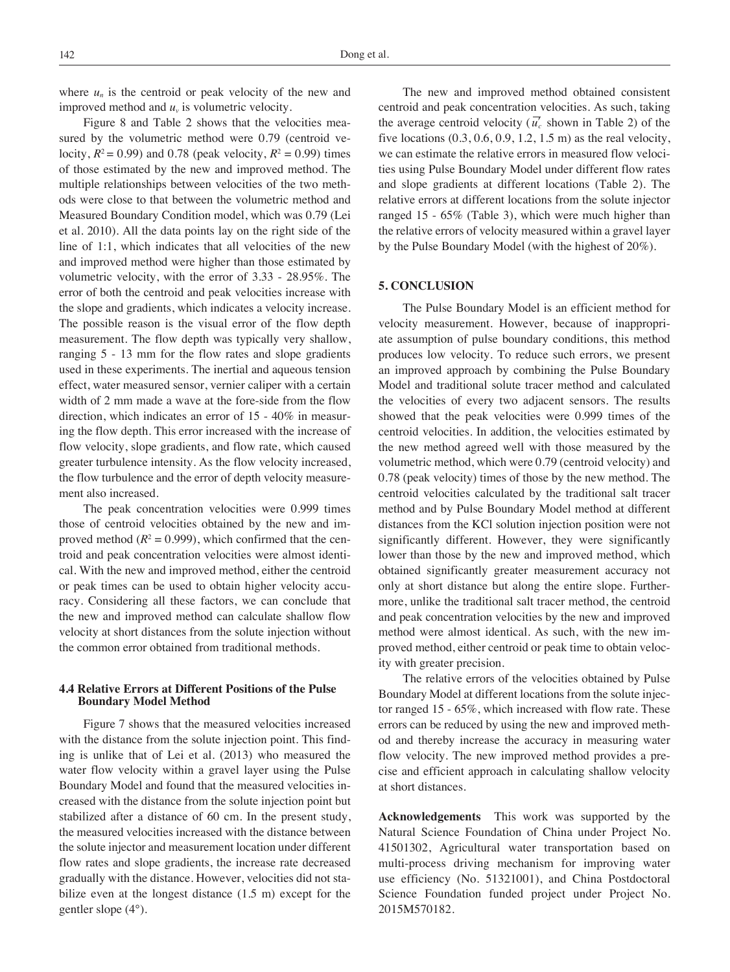where  $u_n$  is the centroid or peak velocity of the new and improved method and *uv* is volumetric velocity.

Figure 8 and Table 2 shows that the velocities measured by the volumetric method were 0.79 (centroid velocity,  $R^2 = 0.99$ ) and 0.78 (peak velocity,  $R^2 = 0.99$ ) times of those estimated by the new and improved method. The multiple relationships between velocities of the two methods were close to that between the volumetric method and Measured Boundary Condition model, which was 0.79 (Lei et al. 2010). All the data points lay on the right side of the line of 1:1, which indicates that all velocities of the new and improved method were higher than those estimated by volumetric velocity, with the error of 3.33 - 28.95%. The error of both the centroid and peak velocities increase with the slope and gradients, which indicates a velocity increase. The possible reason is the visual error of the flow depth measurement. The flow depth was typically very shallow, ranging 5 - 13 mm for the flow rates and slope gradients used in these experiments. The inertial and aqueous tension effect, water measured sensor, vernier caliper with a certain width of 2 mm made a wave at the fore-side from the flow direction, which indicates an error of 15 - 40% in measuring the flow depth. This error increased with the increase of flow velocity, slope gradients, and flow rate, which caused greater turbulence intensity. As the flow velocity increased, the flow turbulence and the error of depth velocity measurement also increased.

The peak concentration velocities were 0.999 times those of centroid velocities obtained by the new and improved method  $(R^2 = 0.999)$ , which confirmed that the centroid and peak concentration velocities were almost identical. With the new and improved method, either the centroid or peak times can be used to obtain higher velocity accuracy. Considering all these factors, we can conclude that the new and improved method can calculate shallow flow velocity at short distances from the solute injection without the common error obtained from traditional methods.

# **4.4 Relative Errors at Different Positions of the Pulse Boundary Model Method**

Figure 7 shows that the measured velocities increased with the distance from the solute injection point. This finding is unlike that of Lei et al. (2013) who measured the water flow velocity within a gravel layer using the Pulse Boundary Model and found that the measured velocities increased with the distance from the solute injection point but stabilized after a distance of 60 cm. In the present study, the measured velocities increased with the distance between the solute injector and measurement location under different flow rates and slope gradients, the increase rate decreased gradually with the distance. However, velocities did not stabilize even at the longest distance (1.5 m) except for the gentler slope (4°).

The new and improved method obtained consistent centroid and peak concentration velocities. As such, taking the average centroid velocity ( $\overline{u'_c}$  shown in Table 2) of the five locations  $(0.3, 0.6, 0.9, 1.2, 1.5 \text{ m})$  as the real velocity, we can estimate the relative errors in measured flow velocities using Pulse Boundary Model under different flow rates and slope gradients at different locations (Table 2). The relative errors at different locations from the solute injector ranged 15 - 65% (Table 3), which were much higher than the relative errors of velocity measured within a gravel layer by the Pulse Boundary Model (with the highest of 20%).

## **5. CONCLUSION**

The Pulse Boundary Model is an efficient method for velocity measurement. However, because of inappropriate assumption of pulse boundary conditions, this method produces low velocity. To reduce such errors, we present an improved approach by combining the Pulse Boundary Model and traditional solute tracer method and calculated the velocities of every two adjacent sensors. The results showed that the peak velocities were 0.999 times of the centroid velocities. In addition, the velocities estimated by the new method agreed well with those measured by the volumetric method, which were 0.79 (centroid velocity) and 0.78 (peak velocity) times of those by the new method. The centroid velocities calculated by the traditional salt tracer method and by Pulse Boundary Model method at different distances from the KCl solution injection position were not significantly different. However, they were significantly lower than those by the new and improved method, which obtained significantly greater measurement accuracy not only at short distance but along the entire slope. Furthermore, unlike the traditional salt tracer method, the centroid and peak concentration velocities by the new and improved method were almost identical. As such, with the new improved method, either centroid or peak time to obtain velocity with greater precision.

The relative errors of the velocities obtained by Pulse Boundary Model at different locations from the solute injector ranged 15 - 65%, which increased with flow rate. These errors can be reduced by using the new and improved method and thereby increase the accuracy in measuring water flow velocity. The new improved method provides a precise and efficient approach in calculating shallow velocity at short distances.

**Acknowledgements** This work was supported by the Natural Science Foundation of China under Project No. 41501302, Agricultural water transportation based on multi-process driving mechanism for improving water use efficiency (No. 51321001), and China Postdoctoral Science Foundation funded project under Project No. 2015M570182.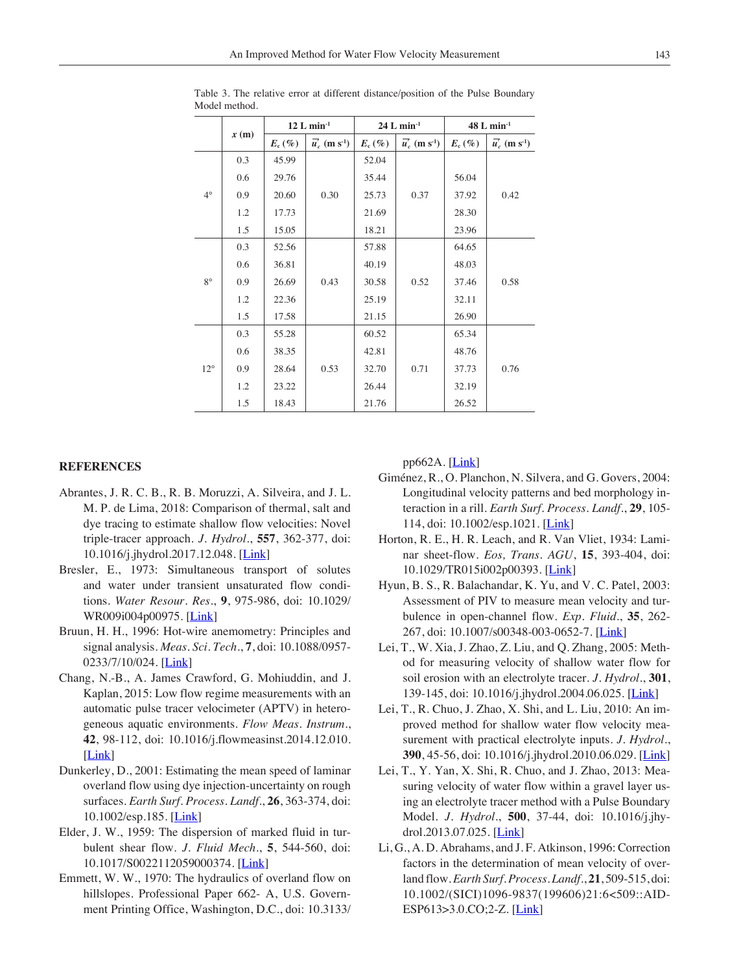|              |      | $12$ L min <sup>-1</sup> |                                        | $24 L min-1$ |                                         | $48$ L min <sup>-1</sup> |                                        |  |
|--------------|------|--------------------------|----------------------------------------|--------------|-----------------------------------------|--------------------------|----------------------------------------|--|
|              | x(m) | $E_{c}$ (%)              | $\overline{u}'_c$ (m s <sup>-1</sup> ) | $E_c$ (%)    | $\overline{u}_c^r$ (m s <sup>-1</sup> ) | $E_c$ (%)                | $\overline{u}'_c$ (m s <sup>-1</sup> ) |  |
| $4^{\circ}$  | 0.3  | 45.99                    |                                        | 52.04        | 0.37                                    |                          | 0.42                                   |  |
|              | 0.6  | 29.76                    |                                        | 35.44        |                                         | 56.04                    |                                        |  |
|              | 0.9  | 20.60                    | 0.30                                   | 25.73        |                                         | 37.92                    |                                        |  |
|              | 1.2  | 17.73                    |                                        | 21.69        |                                         | 28.30                    |                                        |  |
|              | 1.5  | 15.05                    |                                        | 18.21        |                                         | 23.96                    |                                        |  |
| $8^{\circ}$  | 0.3  | 52.56                    |                                        | 57.88        | 0.52                                    | 64.65                    |                                        |  |
|              | 0.6  | 36.81                    | 0.43                                   | 40.19        |                                         | 48.03                    | 0.58                                   |  |
|              | 0.9  | 26.69                    |                                        | 30.58        |                                         | 37.46                    |                                        |  |
|              | 1.2  | 22.36                    |                                        | 25.19        |                                         | 32.11                    |                                        |  |
|              | 1.5  | 17.58                    |                                        | 21.15        |                                         | 26.90                    |                                        |  |
| $12^{\circ}$ | 0.3  | 55.28                    |                                        | 60.52        | 0.71                                    | 65.34                    |                                        |  |
|              | 0.6  | 38.35                    |                                        | 42.81        |                                         | 48.76                    |                                        |  |
|              | 0.9  | 28.64                    | 0.53                                   | 32.70        |                                         | 37.73                    | 0.76                                   |  |
|              | 1.2  | 23.22                    |                                        | 26.44        |                                         | 32.19                    |                                        |  |
|              | 1.5  | 18.43                    |                                        | 21.76        |                                         | 26.52                    |                                        |  |

Table 3. The relative error at different distance/position of the Pulse Boundary Model method.

#### **REFERENCES**

- Abrantes, J. R. C. B., R. B. Moruzzi, A. Silveira, and J. L. M. P. de Lima, 2018: Comparison of thermal, salt and dye tracing to estimate shallow flow velocities: Novel triple-tracer approach. *J. Hydrol.*, **557**, 362-377, doi: 10.1016/j.jhydrol.2017.12.048. [\[Link](https://doi.org/10.1016/j.jhydrol.2017.12.048)]
- Bresler, E., 1973: Simultaneous transport of solutes and water under transient unsaturated flow conditions. *Water Resour. Res.*, **9**, 975-986, doi: 10.1029/ WR009i004p00975. [\[Link](https://doi.org/10.1029/WR009i004p0097)]
- Bruun, H. H., 1996: Hot-wire anemometry: Principles and signal analysis. *Meas. Sci. Tech.*, **7**, doi: 10.1088/0957- 0233/7/10/024. [*Link*]
- Chang, N.-B., A. James Crawford, G. Mohiuddin, and J. Kaplan, 2015: Low flow regime measurements with an automatic pulse tracer velocimeter (APTV) in heterogeneous aquatic environments. *Flow Meas. Instrum.*, **42**, 98-112, doi: 10.1016/j.flowmeasinst.2014.12.010. [\[Link](https://doi.org/10.1016/j.flowmeasinst.2014.12.010)]
- Dunkerley, D., 2001: Estimating the mean speed of laminar overland flow using dye injection-uncertainty on rough surfaces. *Earth Surf. Process. Landf.*, **26**, 363-374, doi: 10.1002/esp.185. [\[Link](https://doi.org/10.1002/esp.185)]
- Elder, J. W., 1959: The dispersion of marked fluid in turbulent shear flow. *J. Fluid Mech.*, **5**, 544-560, doi: 10.1017/S0022112059000374. [\[Link](https://doi.org/10.1017/S0022112059000374)]
- Emmett, W. W., 1970: The hydraulics of overland flow on hillslopes. Professional Paper 662- A, U.S. Government Printing Office, Washington, D.C., doi: 10.3133/

 $pp662A.$  [*Link*]

- Giménez, R., O. Planchon, N. Silvera, and G. Govers, 2004: Longitudinal velocity patterns and bed morphology interaction in a rill. *Earth Surf. Process. Landf.*, **29**, 105- 114, doi: 10.1002/esp.1021. [\[Link](https://doi.org/10.1002/esp.1021)]
- Horton, R. E., H. R. Leach, and R. Van Vliet, 1934: Laminar sheet-flow. *Eos, Trans. AGU*, **15**, 393-404, doi: 10.1029/TR015i002p00393. [[Link\]](https://doi.org/10.1029/TR015i002p00393)
- Hyun, B. S., R. Balachandar, K. Yu, and V. C. Patel, 2003: Assessment of PIV to measure mean velocity and turbulence in open-channel flow. *Exp. Fluid.*, **35**, 262- 267, doi: 10.1007/s00348-003-0652-7. [\[Link](https://doi.org/10.1007/s00348-003-0652-7)]
- Lei, T., W. Xia, J. Zhao, Z. Liu, and Q. Zhang, 2005: Method for measuring velocity of shallow water flow for soil erosion with an electrolyte tracer. *J. Hydrol.*, **301**, 139-145, doi: 10.1016/j.jhydrol.2004.06.025. [\[Link](https://doi.org/10.1016/j.jhydrol.2004.06.025)]
- Lei, T., R. Chuo, J. Zhao, X. Shi, and L. Liu, 2010: An improved method for shallow water flow velocity measurement with practical electrolyte inputs. *J. Hydrol.*, **390**, 45-56, doi: 10.1016/j.jhydrol.2010.06.029. [[Link\]](https://doi.org/10.1016/j.jhydrol.2010.06.029)
- Lei, T., Y. Yan, X. Shi, R. Chuo, and J. Zhao, 2013: Measuring velocity of water flow within a gravel layer using an electrolyte tracer method with a Pulse Boundary Model. *J. Hydrol.*, **500**, 37-44, doi: 10.1016/j.jhy-drol.2013.07.025. [[Link\]](https://doi.org/10.1016/j.jhydrol.2013.07.025)
- Li, G., A. D. Abrahams, and J. F. Atkinson, 1996: Correction factors in the determination of mean velocity of overland flow. *Earth Surf. Process. Landf.*, **21**, 509-515, doi: 10.1002/(SICI)1096-9837(199606)21:6<509::AID-ESP613>3.0.CO;2-Z. [\[Link](https://doi.org/10.1002/(SICI)1096-9837(199606)21:6%3c509::AID-ESP613%3e3.0.CO;2-Z)]